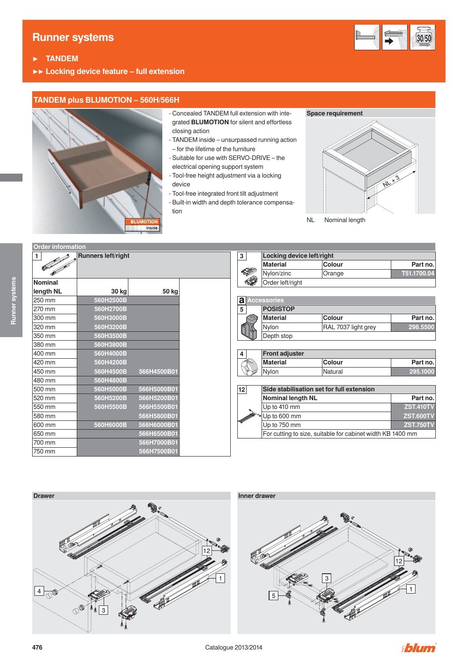# **Runner systems**



- **▶ TANDEM**
- **▶▶ Locking device feature full extension**

### **TANDEM plus BLUMOTION – 560H/566H**



- Concealed TANDEM full extension with integrated **BLUMOTION** for silent and effortless closing action
- TANDEM inside unsurpassed running action – for the lifetime of the furniture
- Suitable for use with SERVO-DRIVE the electrical opening support system
- Tool-free height adjustment via a locking device
- Tool-free integrated front tilt adjustment
- Built-in width and depth tolerance compensation

#### **Space requirement**



NL Nominal length

|                | Runners left/right |             |                | 3       | <b>Locking device left/right</b> |                                                            |                  |
|----------------|--------------------|-------------|----------------|---------|----------------------------------|------------------------------------------------------------|------------------|
|                |                    |             |                |         | <b>Material</b>                  | <b>Colour</b>                                              | Part no.         |
|                |                    |             |                | ❤       | Nylon/zinc                       | Orange                                                     | T51.1700.04      |
| <b>Nominal</b> |                    |             |                | ◈       | Order left/right                 |                                                            |                  |
| length NL      | 30 kg              | 50 kg       |                |         |                                  |                                                            |                  |
| 250 mm         | 560H2500B          |             | $\overline{a}$ |         | <b>Accessories</b>               |                                                            |                  |
| 270 mm         | 560H2700B          |             | 5              |         | <b>POSISTOP</b>                  |                                                            |                  |
| 300 mm         | 560H3000B          |             |                | $\odot$ | <b>Material</b>                  | <b>Colour</b>                                              | Part no.         |
| 320 mm         | 560H3200B          |             |                |         | Nylon                            | RAL 7037 light grey                                        | 298.5500         |
| 350 mm         | 560H3500B          |             |                |         | Depth stop                       |                                                            |                  |
| 380 mm         | 560H3800B          |             |                |         |                                  |                                                            |                  |
| 400 mm         | 560H4000B          |             | 4              |         | <b>Front adjuster</b>            |                                                            |                  |
| 420 mm         | 560H4200B          |             |                |         | <b>Material</b>                  | <b>Colour</b>                                              | Part no.         |
| 450 mm         | 560H4500B          | 566H4500B01 |                |         | Nylon                            | Natural                                                    | 295.1000         |
| 480 mm         | 560H4800B          |             |                |         |                                  |                                                            |                  |
| 500 mm         | 560H5000B          | 566H5000B01 | 12             |         |                                  | Side stabilisation set for full extension                  |                  |
| 520 mm         | 560H5200B          | 566H5200B01 |                |         | <b>Nominal length NL</b>         |                                                            | Part no.         |
| 550 mm         | 560H5500B          | 566H5500B01 |                |         | Up to 410 mm                     |                                                            | <b>ZST.410TV</b> |
| 580 mm         |                    | 566H5800B01 |                |         | Jp to 600 mm                     |                                                            | <b>ZST.600TV</b> |
| 600 mm         | 560H6000B          | 566H6000B01 |                |         | Up to 750 mm                     |                                                            | <b>ZST.750TV</b> |
| 650 mm         |                    | 566H6500B01 |                |         |                                  | For cutting to size, suitable for cabinet width KB 1400 mm |                  |
| 700 mm         |                    | 566H7000B01 |                |         |                                  |                                                            |                  |
| 750 mm         |                    | 566H7500B01 |                |         |                                  |                                                            |                  |